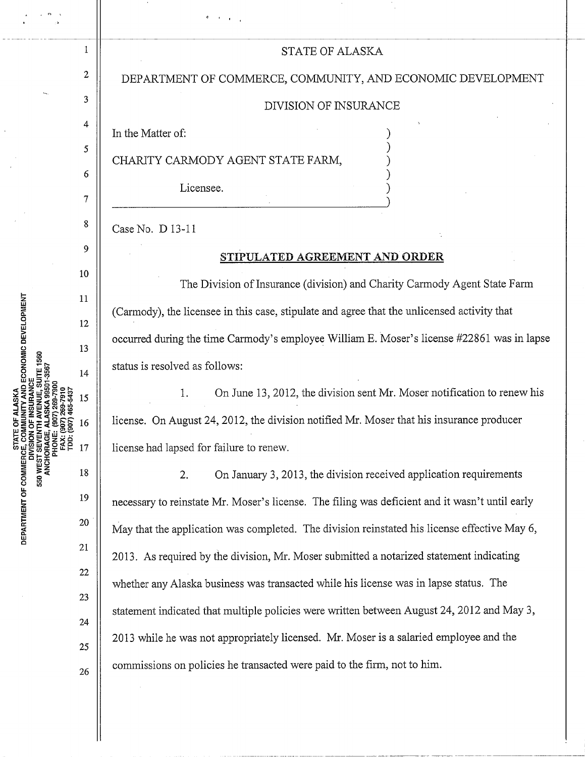## STATE OF ALASKA

DEPARTMENT OF COMMERCE, COMMUNITY, AND ECONOMIC DEVELOPMENT

## DIVISION OF INSURANCE

) ) ) ) )

In the Matter of:

1

2

3

4

5

6

7

8

9

10

11

12

13

14

15

16

17

18

19

20

22

21

23

24

25

26

CHARITY CARMODY AGENT STATE FARM,

' ..

Licensee.

Case No. D 13-11

## **STIPULATED AGREEMENT AND ORDER**

The Division of Insurance (division) and Charity Carmody Agent State Farm (Carmody), the licensee in this case, stipulate and agree that the unlicensed activity that occurred during the time Carmody's employee William E. Moser's license #22861 was in lapse status is resolved as follows:

1. On June 13, 2012, the division sent Mr. Moser notification to renew his license. On August 24, 2012, the division notified Mr. Moser that his insurance producer license had lapsed for failure to renew.

2. On January 3, 2013, the division received application requirements necessary to reinstate Mr. Moser's license. The filing was deficient and it wasn't until early May that the application was completed. The division reinstated his license effective May 6, 2013. As required by the division, Mr. Moser submitted a notarized statement indicating whether any Alaska business was transacted while his license was in lapse status. The statement indicated that multiple policies were written between August 24, 2012 and May 3, 2013 while he was not appropriately licensed. Mr. Moser is a salaried employee and the commissions on policies he transacted were paid to the firm, not to him.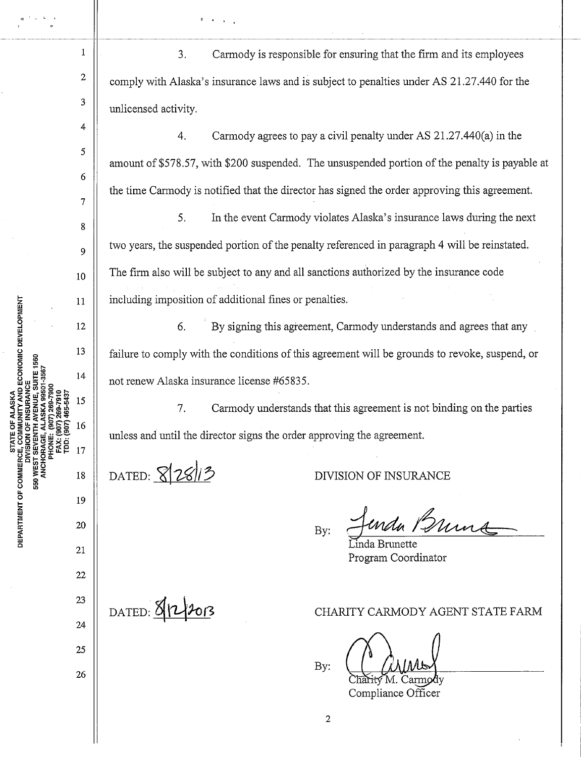3. Carmody is responsible for ensuring that the firm and its employees comply with Alaska's insurance laws and is subject to penalties under AS 21.27.440 for the unlicensed activity.

-----~----11--------------------------------------1

·1 • ' •

4. Carmody agrees to pay a civil penalty under AS 21.27.440(a) in the amount of \$578.57, with \$200 suspended. The unsuspended portion of the penalty is payable at the time Carmody is notified that the director has signed the order approving this agreement.

5. In the event Carmody violates Alaska's insurance laws during the next two years, the suspended portion of the penalty referenced in paragraph 4 will be reinstated. The firm also will be subject to any and all sanctions authorized by the insurance code including imposition of additional fines or penalties.

6. By signing this agreement, Carmody understands and agrees that any failure to comply with the conditions of this agreement will be grounds to revoke, suspend, or not renew Alaska insurance license #65835.

7. Carmody understands that this agreement is not binding on the parties unless and until the director signs the order approving the agreement.

2

DATED: 82813

DIVISION OF INSURANCE

urda Burna By:

inda Brunette Program Coordinator

 $D$ ATED:  $8|2\rangle$ 2013

CHARITY CARMODY AGENT STATE FARM

By:

Compliance Officer

YAND ECONOMIC DEVELOPMENT DEPARTMENT OF COMMERCE, COM ນ<br>ລຽ

22

23

24

25

26

1

2

3

4

5

6

7

8

9

10

11

12

13

14

15

16

17

18

19

20

21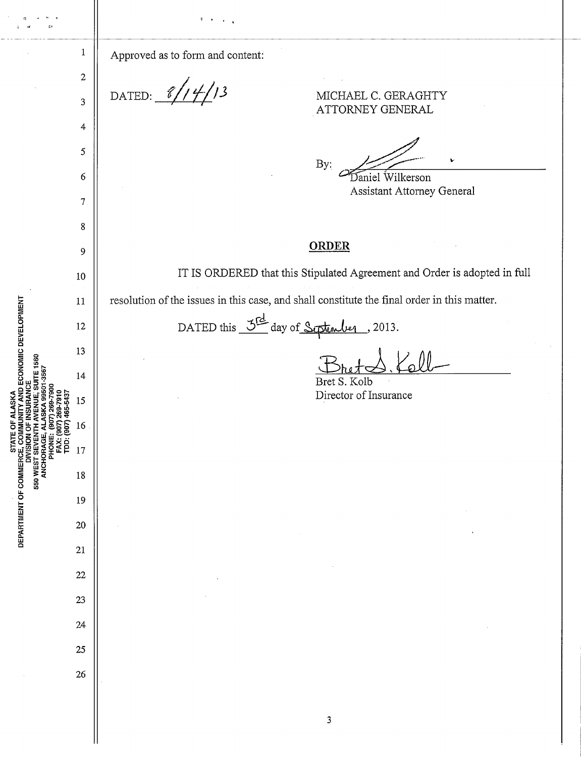|                                                                                                                                                                                                                                          |                       | ৰ                                                                                            |
|------------------------------------------------------------------------------------------------------------------------------------------------------------------------------------------------------------------------------------------|-----------------------|----------------------------------------------------------------------------------------------|
|                                                                                                                                                                                                                                          | $\mathbf{1}$          | Approved as to form and content:                                                             |
| <b>D ECONOMIC DEVELOPMENT</b><br>560<br>ă<br>g<br>9)<br>DEPARTMENT OF COMMERCE, COMI<br>DIVISION ON DIVISION<br>DIVISION CROMERT SEVENT<br>DIVISION OF COMMERCE, COMI<br>PONE: A<br>PANCE, A<br>PONE: A<br>PANCE, COMIC COMINERCE, COMIN | $\boldsymbol{2}$<br>3 | 14/13<br>DATED: $\frac{\mathscr{C}}{\mathscr{L}}$<br>MICHAEL C. GERAGHTY<br>ATTORNEY GENERAL |
|                                                                                                                                                                                                                                          | 4                     |                                                                                              |
|                                                                                                                                                                                                                                          | $\mathfrak s$         | By:                                                                                          |
|                                                                                                                                                                                                                                          | 6                     | Daniel Wilkerson<br>Assistant Attorney General                                               |
|                                                                                                                                                                                                                                          | $\boldsymbol{7}$      |                                                                                              |
|                                                                                                                                                                                                                                          | 8                     | <b>ORDER</b>                                                                                 |
|                                                                                                                                                                                                                                          | 9                     | IT IS ORDERED that this Stipulated Agreement and Order is adopted in full                    |
|                                                                                                                                                                                                                                          | 10                    |                                                                                              |
|                                                                                                                                                                                                                                          | 11                    | resolution of the issues in this case, and shall constitute the final order in this matter.  |
|                                                                                                                                                                                                                                          | 12<br>13              | DATED this $\frac{3^{rd}}{d}$ day of Siptember,<br>2013.                                     |
|                                                                                                                                                                                                                                          | 14                    |                                                                                              |
|                                                                                                                                                                                                                                          | 15                    | Bret S. Kolb<br>Director of Insurance                                                        |
|                                                                                                                                                                                                                                          | 16                    |                                                                                              |
|                                                                                                                                                                                                                                          | 17                    |                                                                                              |
|                                                                                                                                                                                                                                          | 18                    |                                                                                              |
|                                                                                                                                                                                                                                          | 19                    |                                                                                              |
|                                                                                                                                                                                                                                          | 20                    |                                                                                              |
|                                                                                                                                                                                                                                          | 21                    |                                                                                              |
|                                                                                                                                                                                                                                          | 22                    |                                                                                              |
|                                                                                                                                                                                                                                          | 23                    |                                                                                              |
|                                                                                                                                                                                                                                          | 24                    |                                                                                              |
|                                                                                                                                                                                                                                          | 25                    |                                                                                              |
|                                                                                                                                                                                                                                          | 26                    |                                                                                              |
|                                                                                                                                                                                                                                          |                       |                                                                                              |
|                                                                                                                                                                                                                                          |                       | 3                                                                                            |